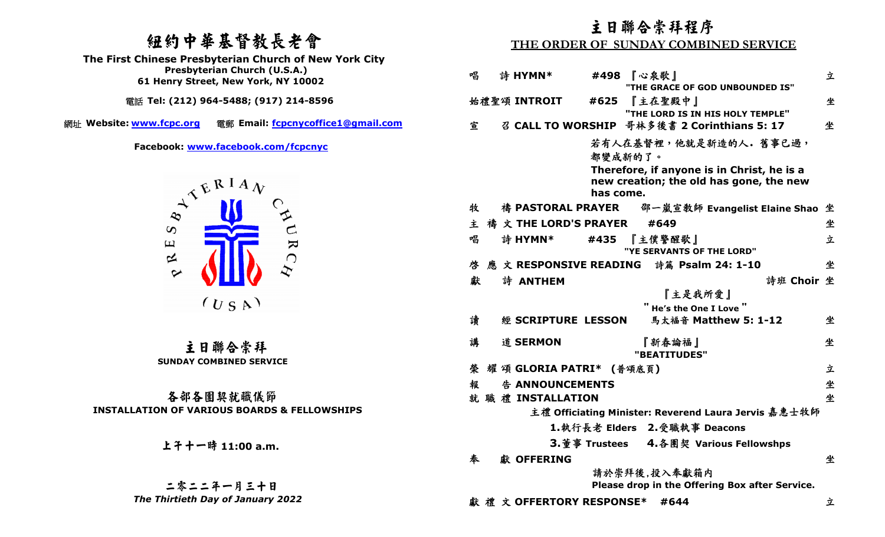# 紐約中華基督教長老會

  **Presbyterian Church (U.S.A.) The First Chinese Presbyterian Church of New York City 61 Henry Street, New York, NY 10002** 

電話 **Tel: (212) 964-5488; (917) 214-8596** 網址 **Website: www.fcpc.org** 電郵 **Email: fcpcnycoffice1@gmail.com**

**Facebook: www.facebook.com/fcpcnyc**



 主日聯合崇拜 **SUNDAY COMBINED SERVICE** 

### 各部各團契就職儀節**INSTALLATION OF VARIOUS BOARDS & FELLOWSHIPS**

# 上午十一時 **11:00 a.m.**

### 二零二二年一月三十日*The Thirtieth Day of January 2022*

# 主日聯合崇拜程序

### **THE ORDER OF SUNDAY COMBINED SERVICE**

| 唱 | 詩 HYMN*                  | #498      | 『心泉歌』<br>"THE GRACE OF GOD UNBOUNDED IS"             |            | 立 |
|---|--------------------------|-----------|------------------------------------------------------|------------|---|
|   | 始禮聖頌 INTROIT             | #625      | 『主在聖殿中』                                              |            | 坐 |
|   |                          |           | "THE LORD IS IN HIS HOLY TEMPLE"                     |            |   |
| 宣 |                          |           | 召 CALL TO WORSHIP 哥林多後書 2 Corinthians 5: 17          |            | 坐 |
|   |                          |           |                                                      |            |   |
|   |                          | 都變成新的了。   | 若有人在基督裡,他就是新造的人。舊事已過,                                |            |   |
|   |                          |           | Therefore, if anyone is in Christ, he is a           |            |   |
|   |                          |           | new creation; the old has gone, the new              |            |   |
|   |                          | has come. |                                                      |            |   |
| 牧 |                          |           |                                                      |            |   |
| 主 | 禱 文 THE LORD'S PRAYER    |           | #649                                                 |            | 坐 |
| 唱 | 詩 HYMN*                  |           | #435 『主僕警醒歌』                                         |            | 立 |
|   |                          |           | "YE SERVANTS OF THE LORD"                            |            |   |
| 啓 |                          |           | 應文 RESPONSIVE READING 詩篇 Psalm 24: 1-10              |            | 坐 |
| 獻 | 詩 ANTHEM                 |           |                                                      | 詩班 Choir 坐 |   |
|   |                          |           | 『主是我所愛』                                              |            |   |
|   |                          |           | " He's the One I Love "                              |            |   |
| 讀 | 經 SCRIPTURE LESSON       |           | 馬太福音 Matthew 5: 1-12                                 |            | 坐 |
| 講 | 道 SERMON                 |           | 『新春論福』                                               |            | 坐 |
|   |                          |           | "BEATITUDES"                                         |            |   |
| 榮 | 耀 頌 GLORIA PATRI* (普頌底頁) |           |                                                      |            | 立 |
| 報 | 告 ANNOUNCEMENTS          |           |                                                      |            | 坐 |
|   | 就 職 禮 INSTALLATION       |           |                                                      |            | 坐 |
|   |                          |           | 主禮 Officiating Minister: Reverend Laura Jervis 嘉惠士牧師 |            |   |
|   |                          |           | 1.執行長老 Elders 2.受職執事 Deacons                         |            |   |
|   |                          |           | 3.董事 Trustees 4.各團契 Various Fellowshps               |            |   |
| 奉 | 獻 OFFERING               |           |                                                      |            | 坐 |
|   |                          |           | 請於崇拜後,投入奉獻箱内                                         |            |   |
|   |                          |           | Please drop in the Offering Box after Service.       |            |   |
|   | 獻禮文 OFFERTORY RESPONSE*  |           | #644                                                 |            | 立 |
|   |                          |           |                                                      |            |   |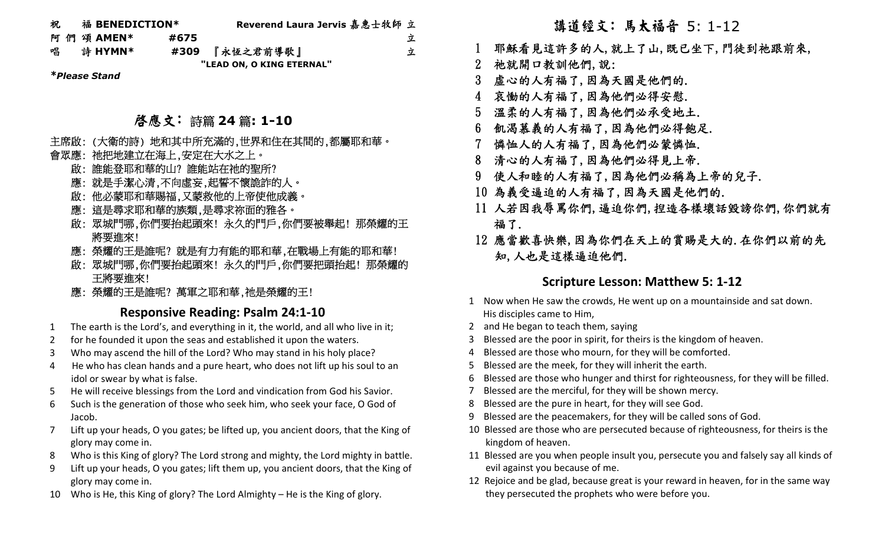| 祝 | 福 BENEDICTION* |                           | Reverend Laura Jervis 嘉惠士牧師 立 |   |
|---|----------------|---------------------------|-------------------------------|---|
|   | 阿 們 頌 AMEN*    | #675                      |                               | 立 |
| 唱 | 詩 HYMN*        | #309                      | 『永恆之君前導歌』                     | 立 |
|   |                | "LEAD ON, O KING ETERNAL" |                               |   |

*\*Please Stand*

# 啟應文: 詩篇 **<sup>24</sup>** 篇**: 1-10**

### 主席啟: (大衛的詩) 地和其中所充滿的,世界和住在其間的,都屬耶和華。

### 會眾應: 祂把地建立在海上,安定在大水之上。

- 啟: 誰能登耶和華的山? 誰能站在祂的聖所?
- 應: 就是手潔心清,不向虛妄,起誓不懷詭詐的人。
- 啟: 他必蒙耶和華賜福,又蒙救他的上帝使他成義。
- 應: 這是尋求耶和華的族類,是尋求祢面的雅各。
- 啟: 眾城門哪,你們要抬起頭來! 永久的門戶,你們要被舉起! 那榮耀的王 將要進來!
- 應: 榮耀的王是誰呢? 就是有力有能的耶和華,在戰場上有能的耶和華!
- 啟: 眾城門哪,你們要抬起頭來! 永久的門戶,你們要把頭抬起! 那榮耀的 王將要進來!
- 應: 榮耀的王是誰呢? 萬軍之耶和華,祂是榮耀的王!

### **Responsive Reading: Psalm 24:1-10**

- 1The earth is the Lord's, and everything in it, the world, and all who live in it;
- 2for he founded it upon the seas and established it upon the waters.
- 3Who may ascend the hill of the Lord? Who may stand in his holy place?<br>4 He who has clean hands and a pure heart, who does not lift up his soul
- 4 He who has clean hands and a pure heart, who does not lift up his soul to an idol or swear by what is false.
- 5He will receive blessings from the Lord and vindication from God his Savior.
- 6 Such is the generation of those who seek him, who seek your face, O God of Jacob.
- 7 Lift up your heads, O you gates; be lifted up, you ancient doors, that the King of glory may come in.
- 8Who is this King of glory? The Lord strong and mighty, the Lord mighty in battle.
- 9 Lift up your heads, O you gates; lift them up, you ancient doors, that the King of glory may come in.
- 10 Who is He, this King of glory? The Lord Almighty He is the King of glory.

# 講道經文: 馬太福音 5: 1-12

- 1 耶穌看見這許多的人,就上了山,既已坐下,門徒到祂跟前來,
- 2 祂就開口教訓他們,說:

- 3 虛心的人有福了,因為天國是他們的.
- 4 哀慟的人有福了,因為他們必得安慰.
- 5 溫柔的人有福了,因為他們必承受地土.
- 6 飢渴慕義的人有福了,因為他們必得飽足.
- 7 憐恤人的人有福了,因為他們必蒙憐恤.
- 8 清心的人有福了,因為他們必得見上帝.
- 9 使人和睦的人有福了,因為他們必稱為上帝的兒子.
- 10 為義受逼迫的人有福了,因為天國是他們的.
- 11 人若因我辱罵你們,逼迫你們,揑造各樣壞話毀謗你們,你們就有 福了.
- 12 應當歡喜快樂,因為你們在天上的賞賜是大的.在你們以前的先 知,人也是這樣逼迫他們.

## **Scripture Lesson: Matthew 5: 1-12**

- 1 Now when He saw the crowds, He went up on a mountainside and sat down. His disciples came to Him,
- 2 and He began to teach them, saying
- Blessed are the poor in spirit, for theirs is the kingdom of heaven.
- 4 Blessed are those who mourn, for they will be comforted.
- 5 Blessed are the meek, for they will inherit the earth.
- 6 Blessed are those who hunger and thirst for righteousness, for they will be filled.
- 7 Blessed are the merciful, for they will be shown mercy.
- 8 Blessed are the pure in heart, for they will see God.
- 9 Blessed are the peacemakers, for they will be called sons of God.
- 10 Blessed are those who are persecuted because of righteousness, for theirs is the kingdom of heaven.
- 11 Blessed are you when people insult you, persecute you and falsely say all kinds of evil against you because of me.
- 12 Rejoice and be glad, because great is your reward in heaven, for in the same way they persecuted the prophets who were before you.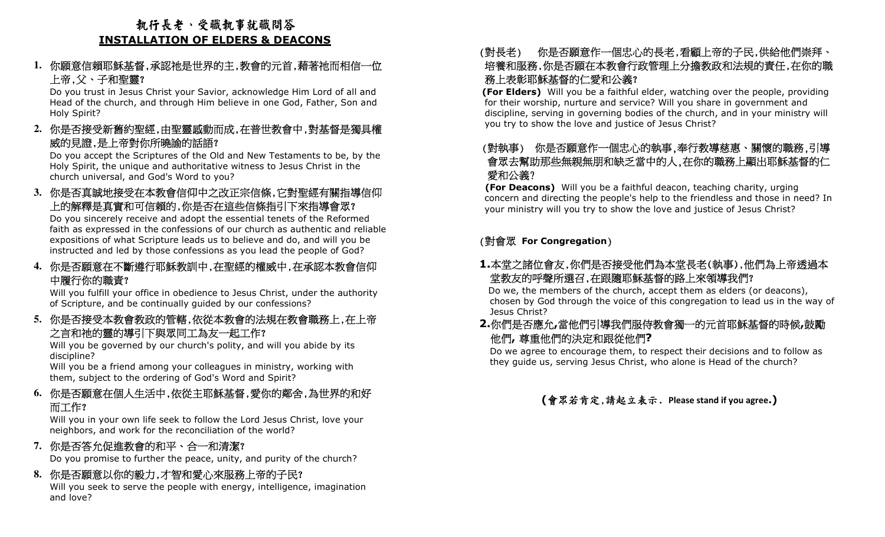# 執行長老、受職執事就職問答**INSTALLATION OF ELDERS & DEACONS**

### **1.**你願意信賴耶穌基督,承認祂是世界的主,教會的元首,藉著祂而相信一位 上帝,父、子和聖靈?

 Do you trust in Jesus Christ your Savior, acknowledge Him Lord of all and Head of the church, and through Him believe in one God, Father, Son and Holy Spirit?

**2.**你是否接受新舊約聖經,由聖靈感動而成,在普世教會中,對基督是獨具權 威的見證,是上帝對你所曉諭的話語?

 Do you accept the Scriptures of the Old and New Testaments to be, by the Holy Spirit, the unique and authoritative witness to Jesus Christ in the church universal, and God's Word to you?

**3.**你是否真誠地接受在本教會信仰中之改正宗信條,它對聖經有關指導信仰 上的解釋是真實和可信賴的,你是否在這些信條指引下來指導會眾?

 Do you sincerely receive and adopt the essential tenets of the Reformed faith as expressed in the confessions of our church as authentic and reliable expositions of what Scripture leads us to believe and do, and will you be instructed and led by those confessions as you lead the people of God?

**4.**你是否願意在不斷遵行耶穌教訓中,在聖經的權威中,在承認本教會信仰 中履行你的職責?

 Will you fulfill your office in obedience to Jesus Christ, under the authority of Scripture, and be continually guided by our confessions?

**5.**你是否接受本教會教政的管轄,依從本教會的法規在教會職務上,在上帝 之言和祂的靈的導引下與眾同工為友一起工作?

 Will you be governed by our church's polity, and will you abide by its discipline?

 Will you be a friend among your colleagues in ministry, working with them, subject to the ordering of God's Word and Spirit?

### **6.**你是否願意在個人生活中,依從主耶穌基督,愛你的鄰舍,為世界的和好 而工作?

 Will you in your own life seek to follow the Lord Jesus Christ, love your neighbors, and work for the reconciliation of the world?

### **7.**你是否答允促進教會的和平、合一和清潔?

Do you promise to further the peace, unity, and purity of the church?

**8.**你是否願意以你的毅力,才智和愛心來服務上帝的子民?

 Will you seek to serve the people with energy, intelligence, imagination and love?

### (對長老) 你 培養和服務,你是否願在本教會行政管理上分擔教政和法規的責任,在你的職 是否願意作一個忠心的長老,看顧上帝的子民,供給他們崇拜、 務上表彰耶穌基督的仁愛和公義?

 **(For Elders)** Will you be a faithful elder, watching over the people, providing for their worship, nurture and service? Will you share in government and discipline, serving in governing bodies of the church, and in your ministry will you try to show the love and justice of Jesus Christ?

# (對執事) 你是否願意作一個忠心的執事,奉行教導慈惠、關懷的職務,引導 會眾去幫助那些無親無朋和缺乏當中的人,在你的職務上顯出耶穌基督的仁愛和公義?

 **(For Deacons)** Will you be a faithful deacon, teaching charity, urging concern and directing the people's help to the friendless and those in need? In your ministry will you try to show the love and justice of Jesus Christ?

### (對會眾 **For Congregation**)

## **1.**本堂之諸位會友,你們是否接受他們為本堂長老(執事),他們為上帝透過本堂教友的呼聲所選召,在跟隨耶穌基督的路上來領導我們?

 Do we, the members of the church, accept them as elders (or deacons), chosen by God through the voice of this congregation to lead us in the way of Jesus Christ?

# **2.**你們是否應允**,**當他們引導我們服侍教會獨一的元首耶穌基督的時候**,**鼓勵他們**,** 尊重他們的決定和跟從他們**?**

 Do we agree to encourage them, to respect their decisions and to follow as they guide us, serving Jesus Christ, who alone is Head of the church?

## **(**會眾若肯定,請起立表示. **Please stand if you agree.)**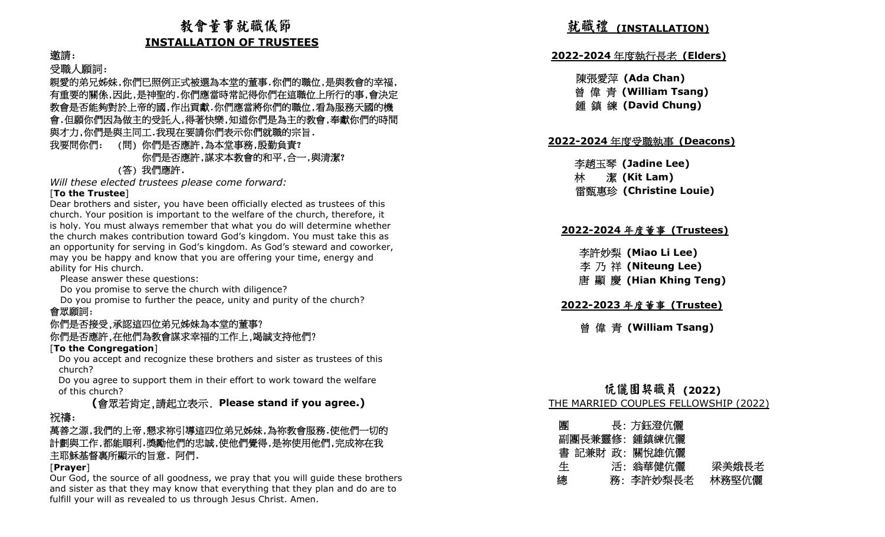# 教會董事就職儀節**INSTALLATION OF TRUSTEES**

### 邀請:

### 受職人願詞:

親愛的弟兄姊妹,你們已照例正式被選為本堂的董事.你們的職位,是與教會的幸福, 有重要的關係,因此,是神聖的.你們應當時常記得你們在這職位上所行的事,會決定 教會是否能夠對於上帝的國,作出貢獻.你們應當將你們的職位,看為服務天國的機 會.但願你們因為做主的受託人,得著快樂,知道你們是為主的教會,奉獻你們的時間 與才力,你們是與主同工.我現在要請你們表示你們就職的宗旨.

### 我要問你們: (問) 你們是否應許,為本堂事務,殷勤負責? 你們是否應許,謀求本教會的和平,合一,與清潔? (答) 我們應許.

 *Will these elected trustees please come forward:* [**To the Trustee**]

 Dear brothers and sister, you have been officially elected as trustees of this church. Your position is important to the welfare of the church, therefore, it is holy. You must always remember that what you do will determine whether the church makes contribution toward God's kingdom. You must take this as an opportunity for serving in God's kingdom. As God's steward and coworker, may you be happy and know that you are offering your time, energy and ability for His church.

Please answer these questions:

Do you promise to serve the church with diligence?

 Do you promise to further the peace, unity and purity of the church? 會眾願詞:

### 你們是否接受,承認這四位弟兄姊妹為本堂的董事?你們是否應許,在他們為教會謀求幸福的工作上,竭誠支持他們?

### [**To the Congregation**]

 Do you accept and recognize these brothers and sister as trustees of this church?

 Do you agree to support them in their effort to work toward the welfare of this church?

### **(**會眾若肯定,請起立表示. **Please stand if you agree.)**祝禱:

### 萬善之源,我們的上帝,懇求祢引導這四位弟兄姊妹,為祢教會服務.使他們一切的 計劃與工作,都能順利.獎勵他們的忠誠,使他們覺得,是祢使用他們,完成祢在我 主耶穌基督裏所顯示的旨意. 阿們.

### [**Prayer**]

 Our God, the source of all goodness, we pray that you will guide these brothers and sister as that they may know that everything that they plan and do are to fulfill your will as revealed to us through Jesus Christ. Amen.

# 就職禮 **(INSTALLATION)**

# **2022-2024** 年度執行長老 **(Elders)**

### 陳張愛萍 **(Ada Chan)**曾 偉 青 **(William Tsang)**

鍾 鎮 練 **(David Chung)**

# **2022-2024** 年度受職執事 **(Deacons)**

李趙玉琴 **(Jadine Lee)** 林 潔 **(Kit Lam)** 雷甄惠珍 **(Christine Louie)**

# **2022-2024** 年度董事 **(Trustees)**

李許妙梨 **(Miao Li Lee)**  李 乃 祥 **(Niteung Lee)** 唐 顯 慶 **(Hian Khing Teng)** 

# **2022-2023** 年度董事 **(Trustee)**

曾 偉 青 **(William Tsang)**

### 伉儷團契職員 (2022) **(2022)** THE MARRIED COUPLES FELLOWSHIP (2022)

| 團 | 長: 方鈺澄伉儷       |       |
|---|----------------|-------|
|   | 副團長兼靈修:鍾鎮練伉儷   |       |
|   | 書 記兼財 政: 關悅雄伉儷 |       |
| 生 | 活:翁華健伉儷        | 梁美娥長老 |
| 總 | 務: 李許妙梨長老      | 林務堅伉儷 |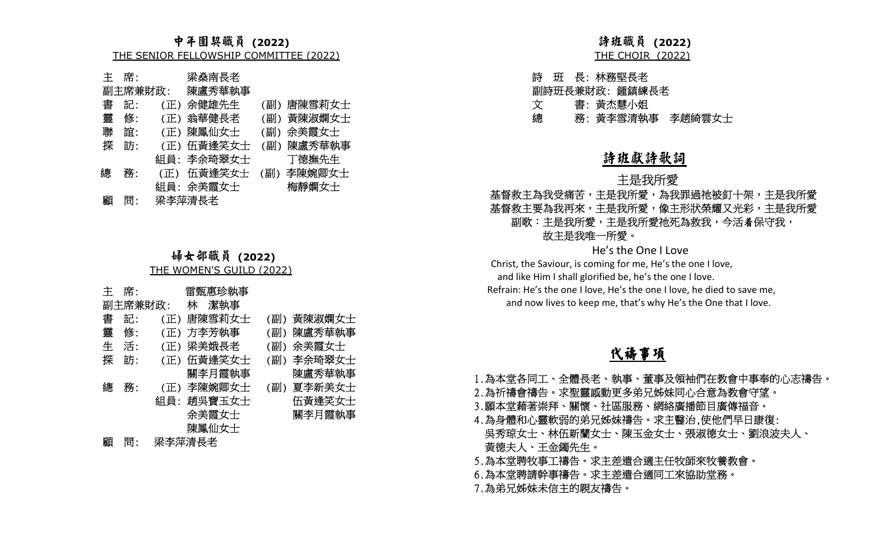|   | 主 席: | 梁桑南長老                 |            |
|---|------|-----------------------|------------|
|   |      | 副主席兼財政: 陳盧秀華執事        |            |
| 書 | 記:   | (正) 余健雄先生             | (副) 唐陳雪莉女士 |
| 靈 | 修:   | (正) 翁華健長老             | (副) 黃陳淑嫻女士 |
| 聯 | 誼:   | (正) 陳鳳仙女士             | (副) 余美霞女士  |
| 探 | 訪:   | (正) 伍黃逢笑女士            | (副) 陳盧秀華執事 |
|   |      | 組員: 李余琦翠女士            | 丁德撫先生      |
| 總 | 務:   | (正) 伍黃逢笑女士 (副) 李陳婉卿女士 |            |
|   |      | 組員: 余美霞女士             | 梅靜嫻女士      |
| 顧 | 問:   | 梁李萍清長老                |            |

### 婦女部職員 (2022) - 姊女邻瞰貞 **(2022)**<br><u>THE WOMEN'S GUILD (2022)</u>

|                                                                                                                                | 中年團契職員 (2022)<br>THE SENIOR FELLOWSHIP COMMITTEE (2022)                                         |                                                                                              | 詩班職員 (2022)<br><b>THE CHOIR (2022)</b>                                                                                                                                            |
|--------------------------------------------------------------------------------------------------------------------------------|-------------------------------------------------------------------------------------------------|----------------------------------------------------------------------------------------------|-----------------------------------------------------------------------------------------------------------------------------------------------------------------------------------|
| 席:<br>主<br>副主席兼財政:<br>書<br>記:<br>(正)<br>靈<br>修:<br>(正)<br>聯<br>誼:<br>(正)<br>探<br>訪:<br>(正)<br>組員:<br>總<br>務:<br>(正)<br>顧<br>問: | 梁燊南長老<br>陳盧秀華執事<br>余健雄先生<br>翁華健長老<br>陳鳳仙女士<br>伍黃逢笑女士<br>李余琦翠女士<br>伍黃逢笑女士<br>組員: 余美霞女士<br>梁李萍清長老 | (副) 唐陳雪莉女士<br>黃陳淑嫻女士<br>(副)<br>余美霞女士<br>(副)<br>陳盧秀華執事<br>(副)<br>丁德撫先生<br>(副) 李陳婉卿女士<br>梅靜嫻女士 | 長:林務堅長老<br>詩<br>班<br>副詩班長兼財政: 鍾鎮練長老<br>書: 黃杰慧小姐<br>文<br>總<br>務: 黃李雪清執事<br>李趙<br>詩班獻詩歌詞<br>主是我所愛<br>基督救主為我受痛苦,主是我所愛,為我罪氵<br>基督救主要為我再來,主是我所愛,像主形<br>副歌:主是我所愛,主是我所愛祂死為排<br>故主是我唯一所愛。 |
|                                                                                                                                | 婦女部職員 (2022)                                                                                    |                                                                                              | He's the One I Love                                                                                                                                                               |
|                                                                                                                                | THE WOMEN'S GUILD (2022)                                                                        |                                                                                              | Christ, the Saviour, is coming for me, He's the o<br>and like Him I shall glorified be, he's the one I                                                                            |
| 席:<br>主                                                                                                                        | 雷甄惠珍執事                                                                                          |                                                                                              | Refrain: He's the one I love, He's the one I love, I                                                                                                                              |
| 副主席兼財政:                                                                                                                        | 林<br>潔執事                                                                                        |                                                                                              | and now lives to keep me, that's why He's th                                                                                                                                      |
| 書<br>記:<br>(正)                                                                                                                 | 唐陳雪莉女士                                                                                          | 黃陳淑嫻女士<br>(副)                                                                                |                                                                                                                                                                                   |
| 靈<br>修:<br>(正)                                                                                                                 | 方李芳執事                                                                                           | 陳盧秀華執事<br>(副)                                                                                |                                                                                                                                                                                   |
| 生<br>活:                                                                                                                        | (正) 梁美娥長老                                                                                       | (副)<br>余美霞女士                                                                                 |                                                                                                                                                                                   |
| 探<br>訪:<br>(正)                                                                                                                 | 伍黃逢笑女士                                                                                          | 李余琦翠女士<br>(副)                                                                                | 代禱事項                                                                                                                                                                              |
| 總<br>務:<br>(正)<br>組員:                                                                                                          | 關李月霞執事<br>李陳婉卿女士<br>趙吳寶玉女士<br>余美霞女士<br>陳鳳仙女士                                                    | 陳盧秀華執事<br>夏李新美女士<br>(副)<br>伍黃逢笑女士<br>關李月霞執事                                                  | 1.為本堂各同工、全體長老、執事、董事及領袖<br>2.為祈禱會禱告。求聖靈感動更多弟兄姊妹同心<br>3.願本堂藉著崇拜、關懷、社區服務、網絡廣播<br>4.為身體和心靈軟弱的弟兄姊妹禱告。求主醫治                                                                              |
| 問:<br>顧                                                                                                                        | 梁李萍清長老                                                                                          |                                                                                              | 吳秀琼女士、林伍新蘭女士、陳玉金女士、張<br>土体十 一 十 人 興 升 ル                                                                                                                                           |

總 務: 黃李雪清執事 李趙綺雲女士

### 詩班獻詩歌詞

#### 是我所愛 主义 医心包 医心包 医心室

### 基督救主為我受痛苦,主是我所愛,為我罪過祂被釘十架,主是我所愛 基督救主要為我再來,主是我所愛,像主形狀榮耀又光彩,主是我所愛 副歌:主是我所愛,主是我所愛祂死為救我,今活着保守我, 故主是我唯一所愛。

Christ, the Saviour, is coming for me, He's the one I love, and like Him I shall glorified be, he's the one I love.

 Refrain: He's the one I love, He's the one I love, he died to save me, and now lives to keep me, that's why He's the One that I love.

# 代禱事項

- 1.為本堂各同工、全體長老、執事、董事及領袖們在教會中事奉的心志禱告。
- 2.為祈禱會禱告。求聖靈感動更多弟兄姊妹同心合意為教會守望。
- 3.願本堂藉著崇拜、關懷、社區服務、網絡廣播節目廣傳福音。
- 4.為身體和心靈軟弱的弟兄姊妹禱告。求主醫治,使他們早日康復: 吳秀琼女士、林伍新蘭女士、陳玉金女士、張淑德女士、劉浪波夫人、 黃德夫人、王金鐲先生。
- 5.為本堂聘牧事工禱告。求主差遣合適主任牧師來牧養教會。
- 6.為本堂聘請幹事禱告。求主差遣合適同工來協助堂務。
- 7.為弟兄姊妹未信主的親友禱告。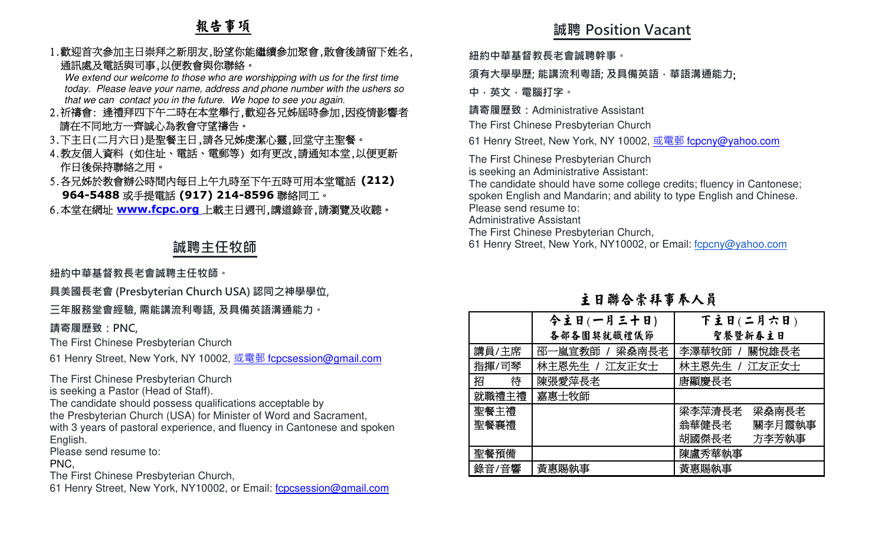# 報告事項

### 1.歡迎首次參加主日崇拜之新朋友,盼望你能繼續參加聚會,散會後請留下姓名, 通訊處及電話與司事,以便教會與你聯絡。

 We extend our welcome to those who are worshipping with us for the first time today. Please leave your name, address and phone number with the ushers so that we can contact you in the future. We hope to see you again.

- 2.祈禱會: 逢禮拜四下午二時在本堂舉行,歡迎各兄姊屆時參加,因疫情影響者請在不同地方一齊誠心為教會守望禱告。
- 3.下主日(二月六日)是聖餐主日,請各兄姊虔潔心靈,回堂守主聖餐。
- 4.教友個人資料 (如住址、電話、電郵等) 如有更改,請通知本堂,以便更新 作日後保持聯絡之用。
- 5.各兄姊於教會辦公時間內每日上午九時至下午五時可用本堂電話 **(212) 964-5488**或手提電話 **(917) 214-8596**聯絡同工。

6.本堂在網址 **www.fcpc.org** 上載主日週刊,講道錄音,請瀏覽及收聽。

# **誠聘主任牧師**

**紐約中華基督教⻑老會誠聘主任牧師。** 

**具美國⻑老會 (Presbyterian Church USA) 認同之神學學位,** 

### **三年服務堂會經驗, 需能講流利粵語, 及具備英語溝通能力。**

**請寄履歷致:PNC,**

The First Chinese Presbyterian Church

61 Henry Street, New York, NY 10002, <u>或電郵 f<mark>cpcsession@gmail.com</mark></u>

The First Chinese Presbyterian Church

is seeking a Pastor (Head of Staff).

The candidate should possess qualifications acceptable by

 the Presbyterian Church (USA) for Minister of Word and Sacrament, with 3 years of pastoral experience, and fluency in Cantonese and spoken English.

Please send resume to:

### PNC,

The First Chinese Presbyterian Church,

61 Henry Street, New York, NY10002, or Email: fcpcsession@gmail.com

# **誠聘 Position Vacant**

**紐約中華基督教⻑老會誠聘幹事。** 

**須有大學學歷; 能講流利粵語; 及具備英語,華語溝通能力**;

**中,英文,電腦打字。 請寄履歷致:**Administrative Assistant

The First Chinese Presbyterian Church

61 Henry Street, New York, NY 10002, <u>或電郵 f<mark>cpcny@yahoo.com</mark></u>

The First Chinese Presbyterian Church

is seeking an Administrative Assistant:

 The candidate should have some college credits; fluency in Cantonese; spoken English and Mandarin; and ability to type English and Chinese.Please send resume to:

Administrative Assistant

The First Chinese Presbyterian Church,

61 Henry Street, New York, NY10002, or Email: fcpcny@yahoo.com

# 主日聯合崇拜事奉人員

|        | 今主日(一月三十日)     | 下主日(二月六日)       |
|--------|----------------|-----------------|
|        | 各部各團契就職禮儀節     | 聖餐暨新春主日         |
| 講員/主席  | 邵一嵐宣教師 / 梁燊南長老 | 李澤華牧師 / 關悅雄長老   |
| 指揮/司琴  | 林主恩先生 / 江友正女士  | 林主恩先生 / 江友正女士   |
| 招<br>待 | 陳張愛萍長老         | 唐顯慶長老           |
| 就職禮主禮  | 嘉惠士牧師          |                 |
| 聖餐主禮   |                | 梁李萍清長老<br>梁燊南長老 |
| 聖餐襄禮   |                | 翁華健長老<br>關李月霞執事 |
|        |                | 胡國傑長老<br>方李芳執事  |
| 聖餐預備   |                | 陳盧秀華執事          |
| 錄音/音響  | 黃惠賜執事          | 黃惠賜執事           |